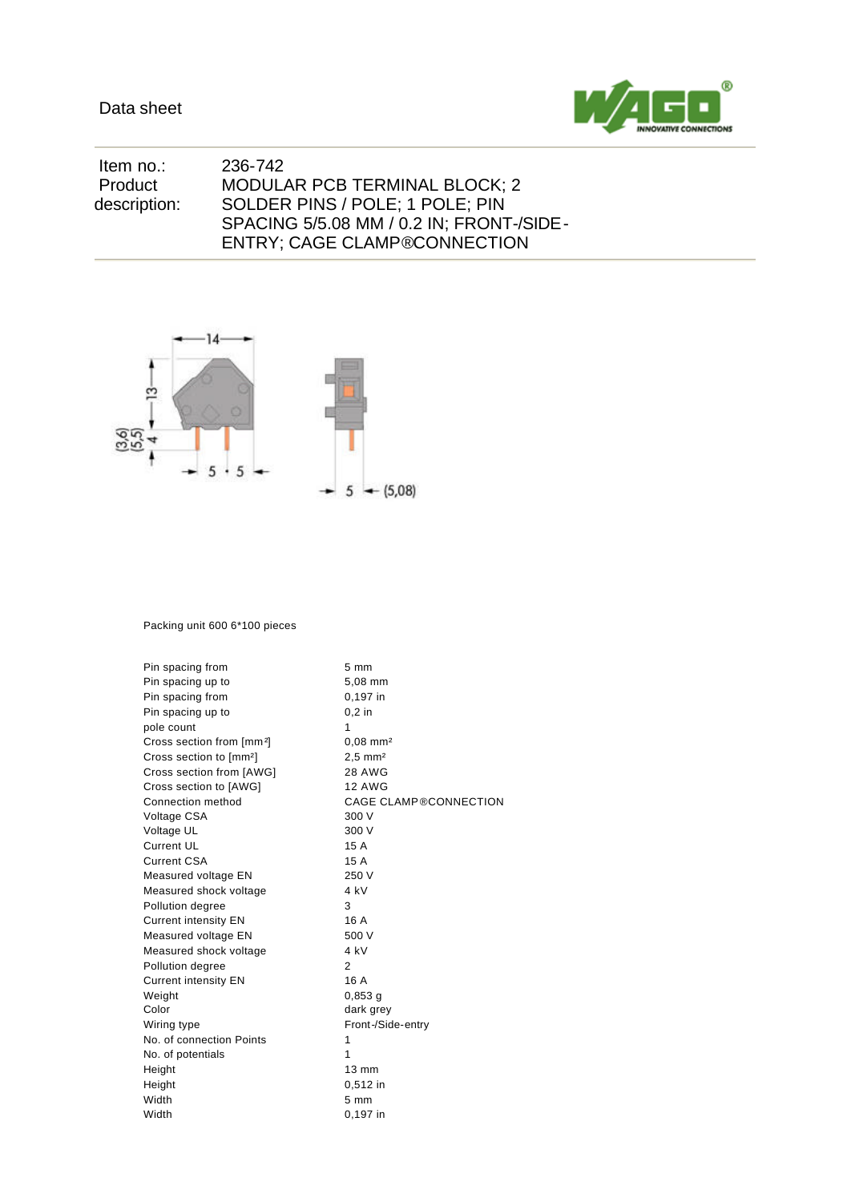

| 236-742                                  |
|------------------------------------------|
| <b>MODULAR PCB TERMINAL BLOCK; 2</b>     |
| SOLDER PINS / POLE; 1 POLE; PIN          |
| SPACING 5/5.08 MM / 0.2 IN: FRONT-/SIDE- |
| <b>ENTRY: CAGE CLAMP®CONNECTION</b>      |
|                                          |



## Packing unit 600 6\*100 pieces

| Pin spacing from                      | $5 \text{ mm}$               |
|---------------------------------------|------------------------------|
| Pin spacing up to                     | 5,08 mm                      |
| Pin spacing from                      | 0,197 in                     |
| Pin spacing up to                     | $0.2$ in                     |
| pole count                            | 1                            |
| Cross section from [mm <sup>2</sup> ] | $0,08$ mm <sup>2</sup>       |
| Cross section to [mm <sup>2</sup> ]   | $2.5$ mm <sup>2</sup>        |
| Cross section from [AWG]              | <b>28 AWG</b>                |
| Cross section to [AWG]                | <b>12 AWG</b>                |
| Connection method                     | <b>CAGE CLAMP®CONNECTION</b> |
| Voltage CSA                           | 300 V                        |
| Voltage UL                            | 300 V                        |
| <b>Current UL</b>                     | 15 A                         |
| <b>Current CSA</b>                    | 15 A                         |
| Measured voltage EN                   | 250 V                        |
| Measured shock voltage                | 4 kV                         |
| Pollution degree                      | 3                            |
| <b>Current intensity EN</b>           | 16 A                         |
| Measured voltage EN                   | 500 V                        |
| Measured shock voltage                | 4 kV                         |
| Pollution degree                      | $\overline{2}$               |
| <b>Current intensity EN</b>           | 16 A                         |
| Weight                                | $0,853$ g                    |
| Color                                 | dark grey                    |
| Wiring type                           | Front-/Side-entry            |
| No. of connection Points              | 1                            |
| No. of potentials                     | 1                            |
| Height                                | $13 \text{ mm}$              |
| Height                                | 0,512 in                     |
| Width                                 | $5 \, \text{mm}$             |
| Width                                 | $0,197$ in                   |